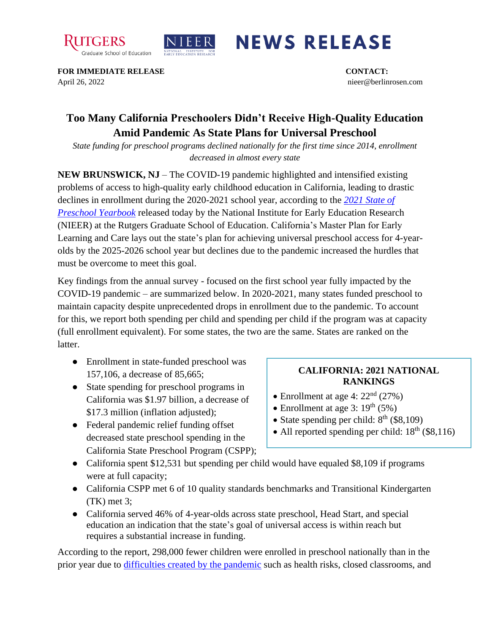



## **NEWS RELEASE**

**FOR IMMEDIATE RELEASE CONTACT:**  April 26, 2022 nieer@berlinrosen.com

## **Too Many California Preschoolers Didn't Receive High-Quality Education Amid Pandemic As State Plans for Universal Preschool**

*State funding for preschool programs declined nationally for the first time since 2014, enrollment decreased in almost every state*

**NEW BRUNSWICK, NJ** – The COVID-19 pandemic highlighted and intensified existing problems of access to high-quality early childhood education in California, leading to drastic declines in enrollment during the 2020-2021 school year, according to the *[2021 State of](https://nieer.org/state-preschool-yearbooks-yearbook2021)  [Preschool Yearbook](https://nieer.org/state-preschool-yearbooks-yearbook2021)* released today by the National Institute for Early Education Research (NIEER) at the Rutgers Graduate School of Education. California's Master Plan for Early Learning and Care lays out the state's plan for achieving universal preschool access for 4-yearolds by the 2025-2026 school year but declines due to the pandemic increased the hurdles that must be overcome to meet this goal.

Key findings from the annual survey - focused on the first school year fully impacted by the COVID-19 pandemic – are summarized below. In 2020-2021, many states funded preschool to maintain capacity despite unprecedented drops in enrollment due to the pandemic. To account for this, we report both spending per child and spending per child if the program was at capacity (full enrollment equivalent). For some states, the two are the same. States are ranked on the latter.

- Enrollment in state-funded preschool was 157,106, a decrease of 85,665;
- State spending for preschool programs in California was \$1.97 billion, a decrease of \$17.3 million (inflation adjusted);
- Federal pandemic relief funding offset decreased state preschool spending in the California State Preschool Program (CSPP);

## **CALIFORNIA: 2021 NATIONAL RANKINGS**

- Enrollment at age 4:  $22<sup>nd</sup>$  (27%)
- Enrollment at age 3:  $19<sup>th</sup> (5%)$
- State spending per child:  $8<sup>th</sup>$  (\$8,109)
- All reported spending per child:  $18<sup>th</sup>$  (\$8,116)
- California spent \$12,531 but spending per child would have equaled \$8,109 if programs were at full capacity;
- California CSPP met 6 of 10 quality standards benchmarks and Transitional Kindergarten (TK) met 3;
- California served 46% of 4-year-olds across state preschool, Head Start, and special education an indication that the state's goal of universal access is within reach but requires a substantial increase in funding.

According to the report, 298,000 fewer children were enrolled in preschool nationally than in the prior year due to [difficulties created by the pandemic](https://nieer.org/wp-content/uploads/2021/02/NIEER_Seven_Impacts_of_the_Pandemic_on_Young_Children_and_their_Parents.pdf) such as health risks, closed classrooms, and